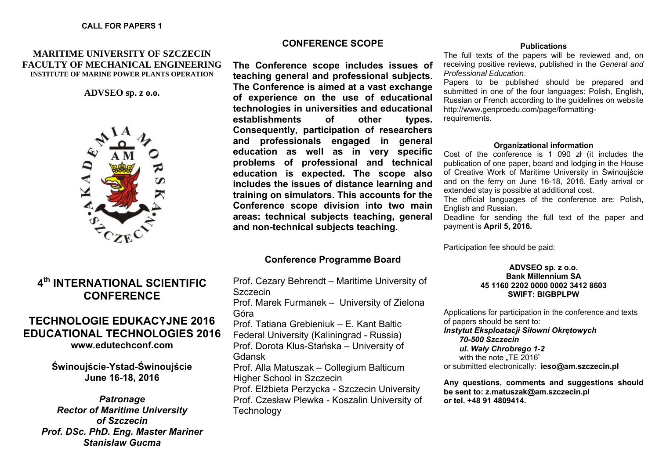### **CALL FOR PAPERS 1**

### **MARITIME UNIVERSITY OF SZCZECIN FACULTY OF MECHANICAL ENGINEERING INSTITUTE OF MARINE POWER PLANTS OPERATION**

**ADVSEO sp. z o.o.** 



# **4th INTERNATIONAL SCIENTIFIC CONFERENCE**

# **TECHNOLOGIE EDUKACYJNE 2016 EDUCATIONAL TECHNOLOGIES 2016 [www.edutechconf.com](http://edutechconf.com/)**

**Świnouj ście-Ystad-Świnouj ście June 16-18, 2016** 

*Patronage Rector of Maritime University of Szczecin Prof. DSc. PhD. Eng. Master Mariner Stanisław Gucma* 

### **CONFERENCE SCOPE**

**The Conference scope includes issues of teaching general and professional subjects. The Conference is aimed at a vast exchange of experience on the use of educational technologies in universities and educational establishments of other types. Consequently, participation of researchers and professionals engaged in general education as well as in very specific problems of professional and technical education is expected. The scope also includes the issues of distance learning and training on simulators. This accounts for the Conference scope division into two main areas: technical subjects teaching, general and non-technical subjects teaching.** 

### **Conference Programme Board**

Prof. Cezary Behrendt – Maritime University of Szczecin Prof. Marek Furmanek – University of Zielona Góra Prof. Tatiana Grebieniuk – E. Kant Baltic Federal University (Kaliningrad - Russia) Prof. Dorota Klus-Sta ńska – University of Gdansk Prof. Alla Matuszak – Collegium Balticum Higher School in Szczecin Prof. El żbieta Perzycka - Szczecin University Prof. Czesław Plewka - Koszalin University of **Technology** 

#### **Publications**

The full texts of the papers will be reviewed and, on receiving positive reviews, published in the *General and Professional Education*.

Papers to be published should be prepared and submitted in one of the four languages: Polish, English, Russian or French according to the guidelines on website [http://www.genproedu.com/page/formatting](http://www.genproedu.com/page/formatting-requirements)[requirements](http://www.genproedu.com/page/formatting-requirements).

#### **Organizational information**

Cost of the conference is 1 090 zł (it includes the publication of one paper, board and lodging in the House of Creative Work of Maritime University in Świnoujście and on the ferry on June 16-18, 2016. Early arrival or extended stay is possible at additional cost.

The official languages of the conference are: Polish, English and Russian.

Deadline for sending the full text of the paper and payment is **April 5, 2016.** 

Participation fee should be paid:

### **ADVSEO sp. z o.o. Bank Millennium SA 45 1160 2202 0000 0002 3412 8603 SWIFT: BIGBPLPW**

Applications for participation in the conference and texts of papers should be sent to: *Instytut Eksploatacji Siłowni Okrętowych 70-500 Szczecin ul. Wały Chrobrego 1-2*  with the note ..TE 2016" or submitted electronically: **[ieso@am.szczecin.pl](mailto:ieso@am.szczecin.pl)** 

**Any questions, comments and suggestions should be sent to: [z.matuszak@am.szczecin.pl](mailto:zbimat@am.szczecin.pl) or tel. +48 91 4809414.**